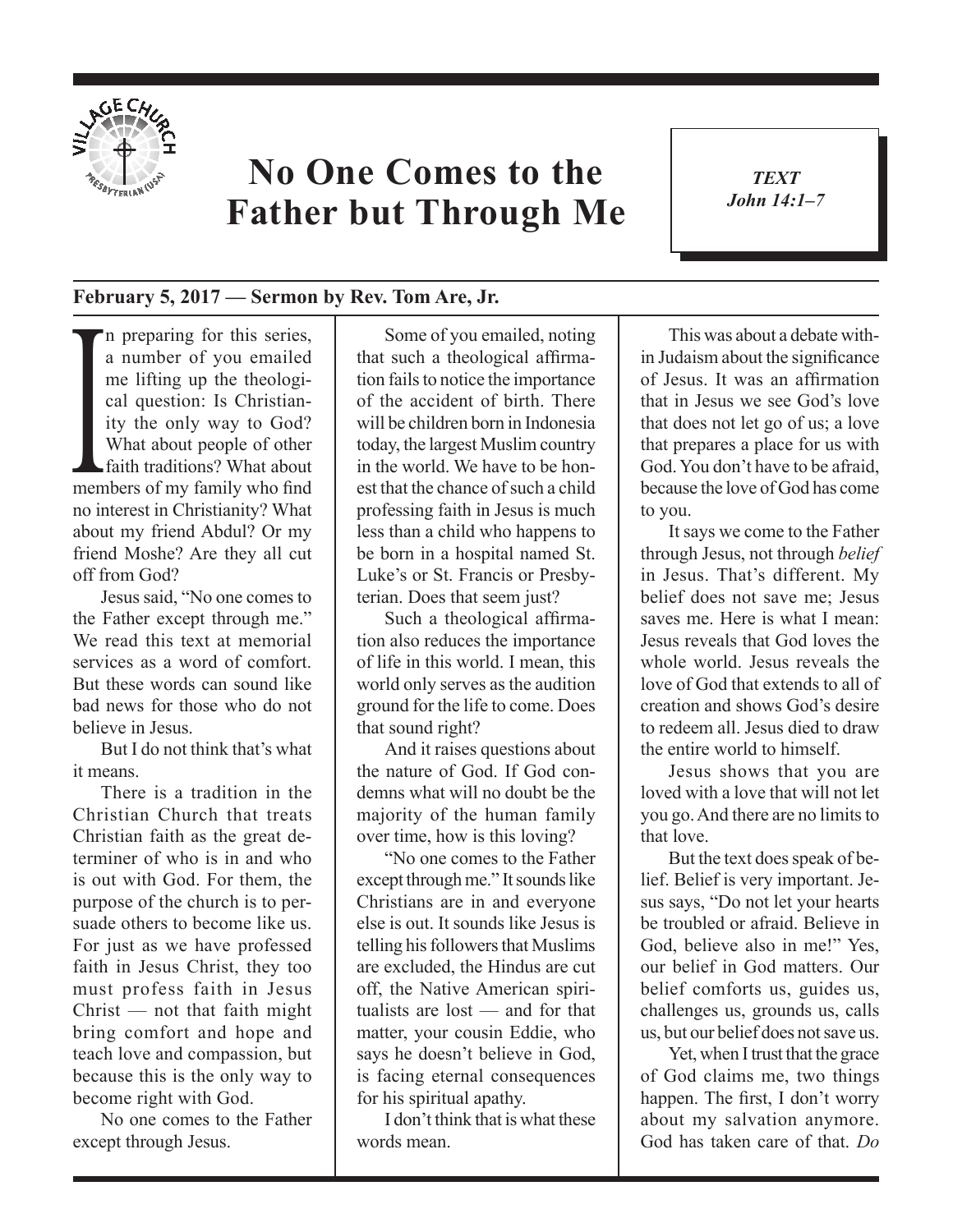

## **No One Comes to the Father but Through Me**

*TEXT John 14:1–7* 1

## **February 5, 2017 — Sermon by Rev. Tom Are, Jr.**

cal question: Is Christian-<br>ity the only way to God?<br>What about people of other<br>faith traditions? What about<br>members of my family who find n preparing for this series, a number of you emailed me lifting up the theological question: Is Christianity the only way to God? What about people of other faith traditions? What about no interest in Christianity? What about my friend Abdul? Or my friend Moshe? Are they all cut off from God?

Jesus said, "No one comes to the Father except through me." We read this text at memorial services as a word of comfort. But these words can sound like bad news for those who do not believe in Jesus.

But I do not think that's what it means.

There is a tradition in the Christian Church that treats Christian faith as the great determiner of who is in and who is out with God. For them, the purpose of the church is to persuade others to become like us. For just as we have professed faith in Jesus Christ, they too must profess faith in Jesus Christ — not that faith might bring comfort and hope and teach love and compassion, but because this is the only way to become right with God.

No one comes to the Father except through Jesus.

Some of you emailed, noting that such a theological affirmation fails to notice the importance of the accident of birth. There will be children born in Indonesia today, the largest Muslim country in the world. We have to be honest that the chance of such a child professing faith in Jesus is much less than a child who happens to be born in a hospital named St. Luke's or St. Francis or Presbyterian. Does that seem just?

Such a theological affirmation also reduces the importance of life in this world. I mean, this world only serves as the audition ground for the life to come. Does that sound right?

And it raises questions about the nature of God. If God condemns what will no doubt be the majority of the human family over time, how is this loving?

"No one comes to the Father except through me." It sounds like Christians are in and everyone else is out. It sounds like Jesus is telling his followers that Muslims are excluded, the Hindus are cut off, the Native American spiritualists are lost — and for that matter, your cousin Eddie, who says he doesn't believe in God, is facing eternal consequences for his spiritual apathy.

I don't think that is what these words mean.

This was about a debate within Judaism about the significance of Jesus. It was an affirmation that in Jesus we see God's love that does not let go of us; a love that prepares a place for us with God. You don't have to be afraid, because the love of God has come to you.

It says we come to the Father through Jesus, not through *belief* in Jesus. That's different. My belief does not save me; Jesus saves me. Here is what I mean: Jesus reveals that God loves the whole world. Jesus reveals the love of God that extends to all of creation and shows God's desire to redeem all. Jesus died to draw the entire world to himself.

Jesus shows that you are loved with a love that will not let you go. And there are no limits to that love.

But the text does speak of belief. Belief is very important. Jesus says, "Do not let your hearts be troubled or afraid. Believe in God, believe also in me!" Yes, our belief in God matters. Our belief comforts us, guides us, challenges us, grounds us, calls us, but our belief does not save us.

Yet, when I trust that the grace of God claims me, two things happen. The first, I don't worry about my salvation anymore. God has taken care of that. *Do*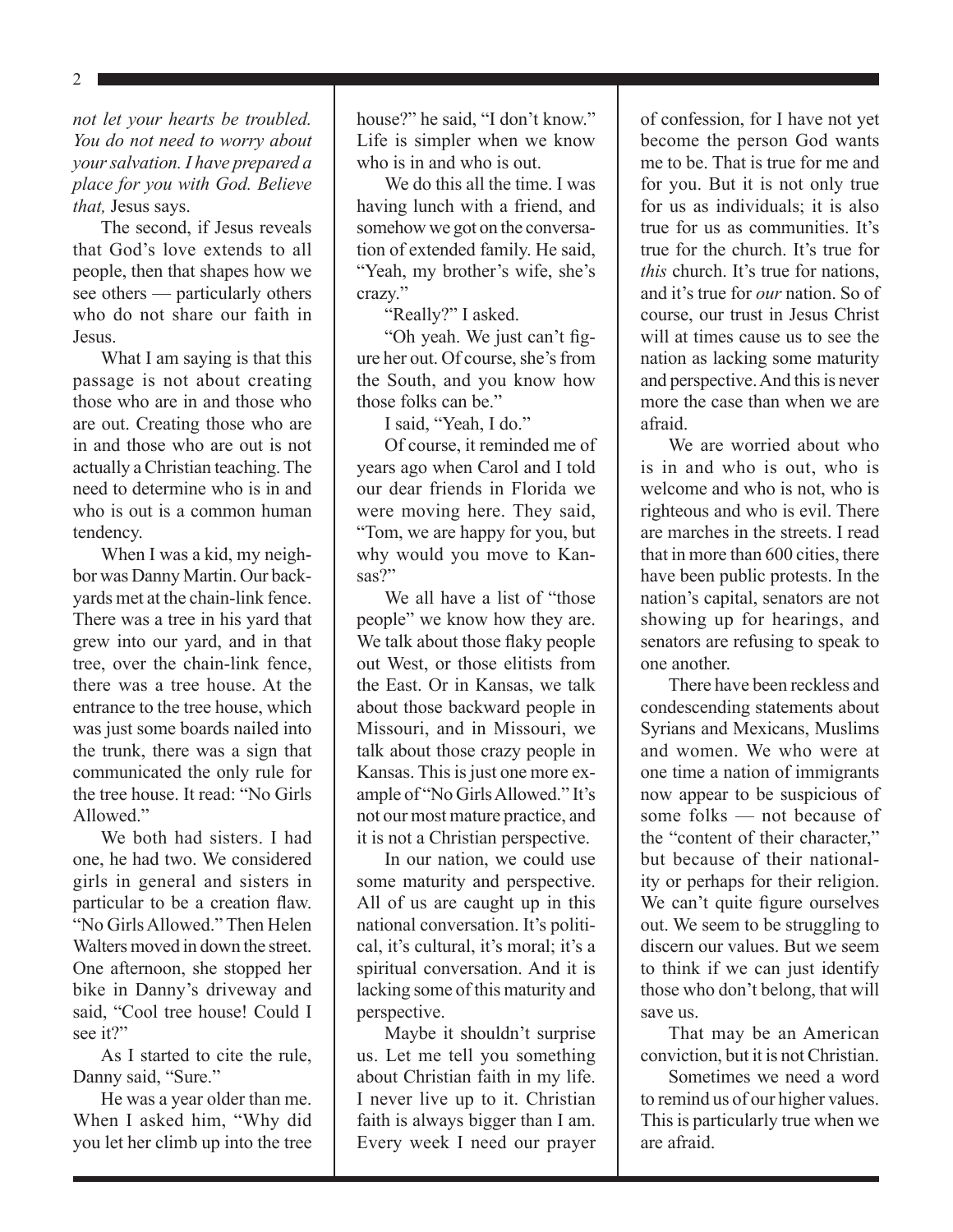*not let your hearts be troubled. You do not need to worry about your salvation. I have prepared a place for you with God. Believe that,* Jesus says.

The second, if Jesus reveals that God's love extends to all people, then that shapes how we see others — particularly others who do not share our faith in Jesus.

What I am saying is that this passage is not about creating those who are in and those who are out. Creating those who are in and those who are out is not actually a Christian teaching. The need to determine who is in and who is out is a common human tendency.

When I was a kid, my neighbor was Danny Martin. Our backyards met at the chain-link fence. There was a tree in his yard that grew into our yard, and in that tree, over the chain-link fence, there was a tree house. At the entrance to the tree house, which was just some boards nailed into the trunk, there was a sign that communicated the only rule for the tree house. It read: "No Girls Allowed."

We both had sisters. I had one, he had two. We considered girls in general and sisters in particular to be a creation flaw. "No Girls Allowed." Then Helen Walters moved in down the street. One afternoon, she stopped her bike in Danny's driveway and said, "Cool tree house! Could I see it?"

As I started to cite the rule, Danny said, "Sure."

He was a year older than me. When I asked him, "Why did you let her climb up into the tree house?" he said, "I don't know." Life is simpler when we know who is in and who is out.

We do this all the time. I was having lunch with a friend, and somehow we got on the conversation of extended family. He said, "Yeah, my brother's wife, she's crazy."

"Really?" I asked.

"Oh yeah. We just can't figure her out. Of course, she's from the South, and you know how those folks can be."

I said, "Yeah, I do."

Of course, it reminded me of years ago when Carol and I told our dear friends in Florida we were moving here. They said, "Tom, we are happy for you, but why would you move to Kansas?"

We all have a list of "those people" we know how they are. We talk about those flaky people out West, or those elitists from the East. Or in Kansas, we talk about those backward people in Missouri, and in Missouri, we talk about those crazy people in Kansas. This is just one more example of "No Girls Allowed." It's not our most mature practice, and it is not a Christian perspective.

In our nation, we could use some maturity and perspective. All of us are caught up in this national conversation. It's political, it's cultural, it's moral; it's a spiritual conversation. And it is lacking some of this maturity and perspective.

Maybe it shouldn't surprise us. Let me tell you something about Christian faith in my life. I never live up to it. Christian faith is always bigger than I am. Every week I need our prayer of confession, for I have not yet become the person God wants me to be. That is true for me and for you. But it is not only true for us as individuals; it is also true for us as communities. It's true for the church. It's true for *this* church. It's true for nations, and it's true for *our* nation. So of course, our trust in Jesus Christ will at times cause us to see the nation as lacking some maturity and perspective. And this is never more the case than when we are afraid.

We are worried about who is in and who is out, who is welcome and who is not, who is righteous and who is evil. There are marches in the streets. I read that in more than 600 cities, there have been public protests. In the nation's capital, senators are not showing up for hearings, and senators are refusing to speak to one another.

There have been reckless and condescending statements about Syrians and Mexicans, Muslims and women. We who were at one time a nation of immigrants now appear to be suspicious of some folks — not because of the "content of their character," but because of their nationality or perhaps for their religion. We can't quite figure ourselves out. We seem to be struggling to discern our values. But we seem to think if we can just identify those who don't belong, that will save us.

That may be an American conviction, but it is not Christian.

Sometimes we need a word to remind us of our higher values. This is particularly true when we are afraid.